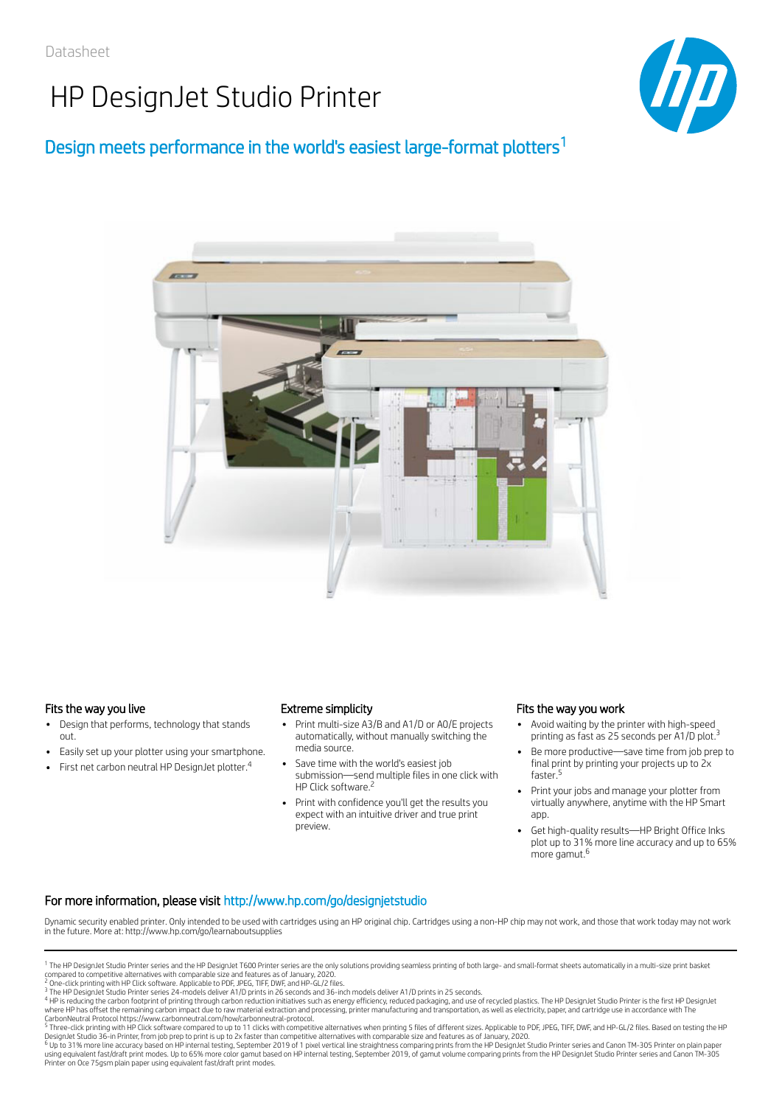# HP DesignJet Studio Printer



### Design meets performance in the world's easiest large-format plotters<sup>1</sup>



### Fits the way you live Extreme simplicity

- Design that performs, technology that stands out.
- Easily set up your plotter using your smartphone.
- First net carbon neutral HP DesignJet plotter.<sup>4</sup>  $\ddot{\phantom{0}}$

- Print multi-size A3/B and A1/D or A0/E projects automatically, without manually switching the media source.
- Save time with the world's easiest job submission—send multiple files in one click with HP Click software.<sup>2</sup>
- Print with confidence you'll get the results you expect with an intuitive driver and true print preview.

#### Fits the way you work

- Avoid waiting by the printer with high-speed printing as fast as 25 seconds per A1/D plot.<sup>3</sup>
- Be more productive—save time from job prep to final print by printing your projects up to 2x faster.<sup>5</sup>
- Print your jobs and manage your plotter from virtually anywhere, anytime with the HP Smart app.
- Get high-quality results—HP Bright Office Inks plot up to 31% more line accuracy and up to 65% more gamut.<sup>6</sup>

### For more information, please visit http://www.hp.com/go/designjetstudio

Dynamic security enabled printer. Only intended to be used with cartridges using an HP original chip. Cartridges using a non-HP chip may not work, and those that work today may not work in the future. More at: http://www.hp.com/go/learnaboutsupplies

<sup>4</sup> HP is reducing the carbon footprint of printing through carbon reduction initiatives such as energy efficiency, reduced packaging, and use of recycled plastics. The HP DesignJet Studio Printer is the first HP DesignJet

CarbonNeutral Protocol https://www.carbonneutral.com/how/carbonneutral-protocol.<br><sup>5</sup> Three-click printing with HP Click software compared to up to 11 clicks with competitive alternatives when printing 5 files of different

DesignJet Studio 36-in Printer, from job prep to print is up to 2x faster than competitive alternatives with comparable size and features as of January, 2020.<br><sup>6</sup> Up to 31% more line accuracy based on HP internal tests on Printer on Oce 75gsm plain paper using equivalent fast/draft print modes.

<sup>&</sup>lt;sup>1</sup> The HP DesignJet Studio Printer series and the HP DesignJet T600 Printer series are the only solutions providing seamless printing of both large- and small-format sheets automatically in a multi-size print basket compared to competitive alternatives with comparable size and features as of January, 2020.<br><sup>2</sup> One-click printing with HP Click software. Applicable to PDF, JPEG, TIFF, DWF, and HP-GL/2 files.<br><sup>3</sup> The HP DesignJet Studio